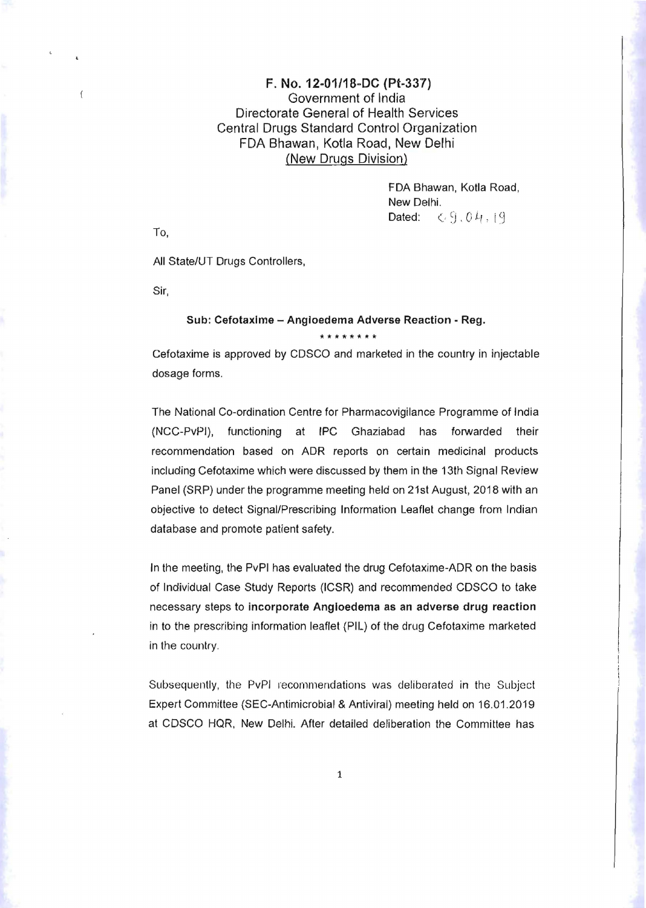## F. No. 12-01/18-DC (Pt-337) Government of India Directorate General of Health Services Central Drugs Standard Control Organization FDA Bhawan, Kotla Road, New Delhi (New Drugs Division)

FDA Bhawan, Kotla Road, New Delhi. Dated:  $\leftarrow$  9,04,19

To,

 $\overline{1}$ 

All State/UT Drugs Controllers,

Sir,

## Sub: Cefotaxlme - Angioedema Adverse Reaction - Reg.

Cefotaxime is approved by CDSCO and marketed in the country in injectable dosage forms.

**\*\*\*\*\*\*\*\*** 

The National Co-ordination Centre for Pharmacovigilance Programme of India (NCC-PvPI) , functioning at IPC Ghaziabad has forwarded their recommendation based on ADR reports on certain medicinal products including Cefotaxime which were discussed by them in the 13th Signal Review Panel (SRP) under the programme meeting held on 21st August, 2018 with an objective to detect Signal/Prescribing Information Leaflet change from Indian database and promote patient safety.

In the meeting, the PvPI has evaluated the drug Cefotaxime-ADR on the basis of Individual Case Study Reports (ICSR) and recommended CDSCO to take necessary steps to incorporate Angioedema as an adverse drug reaction in to the prescribing information leaflet (PIL) of the drug Cefotaxime marketed in the country.

Subsequently, the PvPI recommendations was deliberated in the Subject Expert Committee (SEC-Antimicrobial & Antiviral) meeting held on 16.01.2019 at CDSCO HQR, New Delhi. After detailed deliberation the Committee has